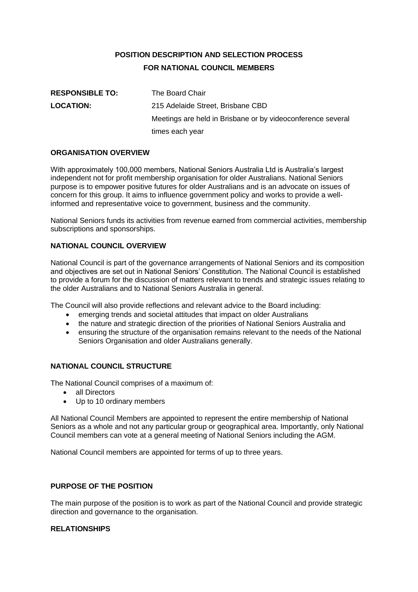# **POSITION DESCRIPTION AND SELECTION PROCESS FOR NATIONAL COUNCIL MEMBERS**

| <b>RESPONSIBLE TO:</b> | The Board Chair                                             |
|------------------------|-------------------------------------------------------------|
| <b>LOCATION:</b>       | 215 Adelaide Street, Brisbane CBD                           |
|                        | Meetings are held in Brisbane or by videoconference several |
|                        | times each year                                             |

#### **ORGANISATION OVERVIEW**

With approximately 100,000 members, National Seniors Australia Ltd is Australia's largest independent not for profit membership organisation for older Australians. National Seniors purpose is to empower positive futures for older Australians and is an advocate on issues of concern for this group. It aims to influence government policy and works to provide a wellinformed and representative voice to government, business and the community.

National Seniors funds its activities from revenue earned from commercial activities, membership subscriptions and sponsorships.

#### **NATIONAL COUNCIL OVERVIEW**

National Council is part of the governance arrangements of National Seniors and its composition and objectives are set out in National Seniors' Constitution. The National Council is established to provide a forum for the discussion of matters relevant to trends and strategic issues relating to the older Australians and to National Seniors Australia in general.

The Council will also provide reflections and relevant advice to the Board including:

- emerging trends and societal attitudes that impact on older Australians
- the nature and strategic direction of the priorities of National Seniors Australia and
- ensuring the structure of the organisation remains relevant to the needs of the National Seniors Organisation and older Australians generally.

#### **NATIONAL COUNCIL STRUCTURE**

The National Council comprises of a maximum of:

- all Directors
- Up to 10 ordinary members

All National Council Members are appointed to represent the entire membership of National Seniors as a whole and not any particular group or geographical area. Importantly, only National Council members can vote at a general meeting of National Seniors including the AGM.

National Council members are appointed for terms of up to three years.

#### **PURPOSE OF THE POSITION**

The main purpose of the position is to work as part of the National Council and provide strategic direction and governance to the organisation.

#### **RELATIONSHIPS**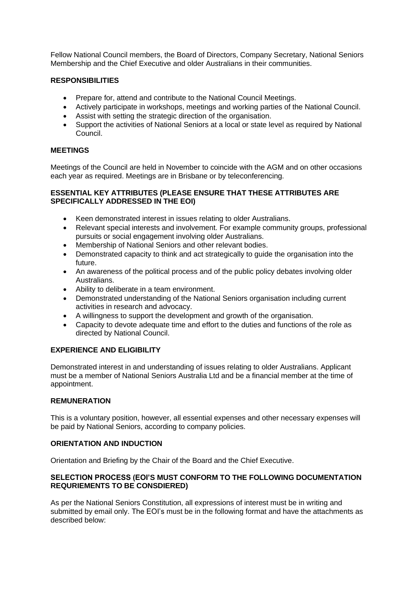Fellow National Council members, the Board of Directors, Company Secretary, National Seniors Membership and the Chief Executive and older Australians in their communities.

#### **RESPONSIBILITIES**

- Prepare for, attend and contribute to the National Council Meetings.
- Actively participate in workshops, meetings and working parties of the National Council.
- Assist with setting the strategic direction of the organisation.
- Support the activities of National Seniors at a local or state level as required by National Council.

#### **MEETINGS**

Meetings of the Council are held in November to coincide with the AGM and on other occasions each year as required. Meetings are in Brisbane or by teleconferencing.

### **ESSENTIAL KEY ATTRIBUTES (PLEASE ENSURE THAT THESE ATTRIBUTES ARE SPECIFICALLY ADDRESSED IN THE EOI)**

- Keen demonstrated interest in issues relating to older Australians.
- Relevant special interests and involvement. For example community groups, professional pursuits or social engagement involving older Australians.
- Membership of National Seniors and other relevant bodies.
- Demonstrated capacity to think and act strategically to guide the organisation into the future.
- An awareness of the political process and of the public policy debates involving older Australians.
- Ability to deliberate in a team environment.
- Demonstrated understanding of the National Seniors organisation including current activities in research and advocacy.
- A willingness to support the development and growth of the organisation.
- Capacity to devote adequate time and effort to the duties and functions of the role as directed by National Council.

# **EXPERIENCE AND ELIGIBILITY**

Demonstrated interest in and understanding of issues relating to older Australians. Applicant must be a member of National Seniors Australia Ltd and be a financial member at the time of appointment.

#### **REMUNERATION**

This is a voluntary position, however, all essential expenses and other necessary expenses will be paid by National Seniors, according to company policies.

# **ORIENTATION AND INDUCTION**

Orientation and Briefing by the Chair of the Board and the Chief Executive.

#### **SELECTION PROCESS (EOI'S MUST CONFORM TO THE FOLLOWING DOCUMENTATION REQURIEMENTS TO BE CONSDIERED)**

As per the National Seniors Constitution, all expressions of interest must be in writing and submitted by email only. The EOI's must be in the following format and have the attachments as described below: